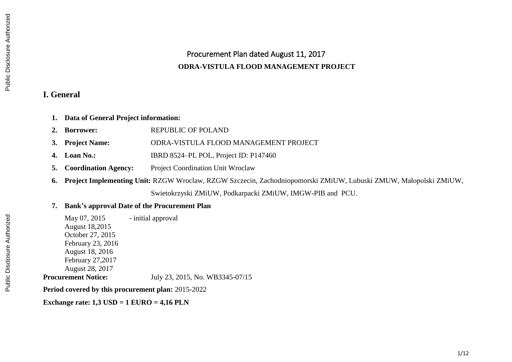# Procurement Plan dated August 11, 2017 **ODRA-VISTULA FLOOD MANAGEMENT PROJECT**

#### **I. General**

- **1. Data of General Project information:**
- 2. **Borrower: REPUBLIC OF POLAND**
- **3. Project Name:** ODRA-VISTULA FLOOD MANAGEMENT PROJECT
- **4. Loan No.:** IBRD 8524–PL POL, Project ID: P147460
- **5. Coordination Agency:** Project Coordination Unit Wroclaw
- **6. Project Implementing Unit:** RZGW Wroclaw, RZGW Szczecin, Zachodniopomorski ZMiUW, Lubuski ZMUW, Małopolski ZMiUW, Swietokrzyski ZMiUW, Podkarpacki ZMiUW, IMGW-PIB and PCU.

### **7. Bank's approval Date of the Procurement Plan**

May 07, 2015 - initial approval August 18,2015 October 27, 2015 February 23, 2016 August 18, 2016 February 27,2017 August 28, 2017 **Procurement Notice:** July 23, 2015, No. WB3345-07/15

**Period covered by this procurement plan:** 2015-2022

**Exchange rate: 1,3 USD = 1 EURO = 4,16 PLN**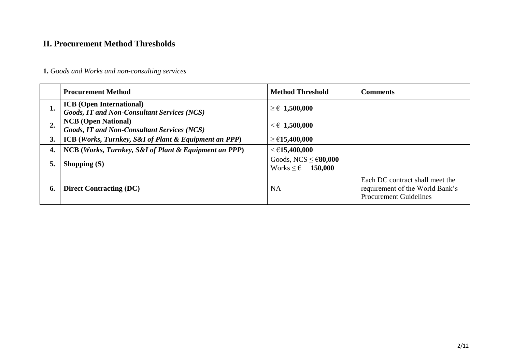# **II. Procurement Method Thresholds**

## **1.** *Goods and Works and non-consulting services*

|    | <b>Procurement Method</b>                                                             | <b>Method Threshold</b>                                               | <b>Comments</b>                                                                                     |
|----|---------------------------------------------------------------------------------------|-----------------------------------------------------------------------|-----------------------------------------------------------------------------------------------------|
| ı. | <b>ICB</b> (Open International)<br><b>Goods, IT and Non-Consultant Services (NCS)</b> | $\geq \in 1,500,000$                                                  |                                                                                                     |
| 2. | <b>NCB</b> (Open National)<br><b>Goods, IT and Non-Consultant Services (NCS)</b>      | $<$ $\in$ 1,500,000                                                   |                                                                                                     |
| 3. | <b>ICB</b> (Works, Turnkey, S&I of Plant & Equipment an PPP)                          | ≥ €15,400,000                                                         |                                                                                                     |
| 4. | NCB (Works, Turnkey, S&I of Plant & Equipment an PPP)                                 | $<$ €15,400,000                                                       |                                                                                                     |
| 5. | Shopping $(S)$                                                                        | Goods, NCS $\leq \epsilon$ 80,000<br>Works $\leq \epsilon$<br>150,000 |                                                                                                     |
| 6. | <b>Direct Contracting (DC)</b>                                                        | <b>NA</b>                                                             | Each DC contract shall meet the<br>requirement of the World Bank's<br><b>Procurement Guidelines</b> |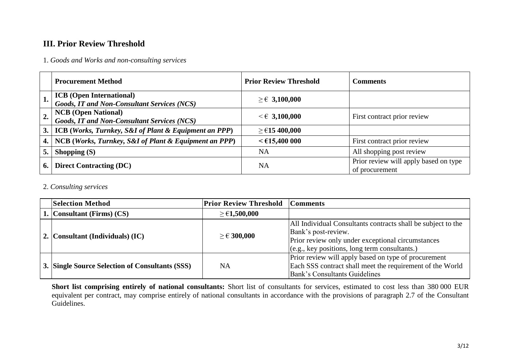## **III. Prior Review Threshold**

1. *Goods and Works and non-consulting services*

|    | <b>Procurement Method</b>                             | <b>Prior Review Threshold</b> | <b>Comments</b>                       |
|----|-------------------------------------------------------|-------------------------------|---------------------------------------|
|    | <b>ICB</b> (Open International)                       | $\geq \epsilon$ 3,100,000     |                                       |
|    | <b>Goods, IT and Non-Consultant Services (NCS)</b>    |                               |                                       |
|    | <b>NCB</b> (Open National)                            | $\leq \epsilon$ 3,100,000     | First contract prior review           |
|    | <b>Goods, IT and Non-Consultant Services (NCS)</b>    |                               |                                       |
| 3. | ICB (Works, Turnkey, S&I of Plant & Equipment an PPP) | ≥ €15400,000                  |                                       |
|    | NCB (Works, Turnkey, S&I of Plant & Equipment an PPP) | $<$ €15,400 000               | First contract prior review           |
|    | Shopping $(S)$                                        | <b>NA</b>                     | All shopping post review              |
|    |                                                       |                               | Prior review will apply based on type |
| 6. | <b>Direct Contracting (DC)</b>                        | <b>NA</b>                     | of procurement                        |

#### 2. *Consulting services*

| <b>Selection Method</b>                         | <b>Prior Review Threshold</b> | <b>Comments</b>                                              |
|-------------------------------------------------|-------------------------------|--------------------------------------------------------------|
| 1. Consultant (Firms) $(CS)$                    | $\geq$ €1,500,000             |                                                              |
|                                                 |                               | All Individual Consultants contracts shall be subject to the |
| 2. Consultant (Individuals) (IC)                | $\geq$ € 300,000              | Bank's post-review.                                          |
|                                                 |                               | Prior review only under exceptional circumstances            |
|                                                 |                               | $(c.g., key positions, long term constants.)$                |
|                                                 |                               | Prior review will apply based on type of procurement         |
| 3. Single Source Selection of Consultants (SSS) | NA                            | Each SSS contract shall meet the requirement of the World    |
|                                                 |                               | <b>Bank's Consultants Guidelines</b>                         |

**Short list comprising entirely of national consultants:** Short list of consultants for services, estimated to cost less than 380 000 EUR equivalent per contract, may comprise entirely of national consultants in accordance with the provisions of paragraph 2.7 of the Consultant Guidelines.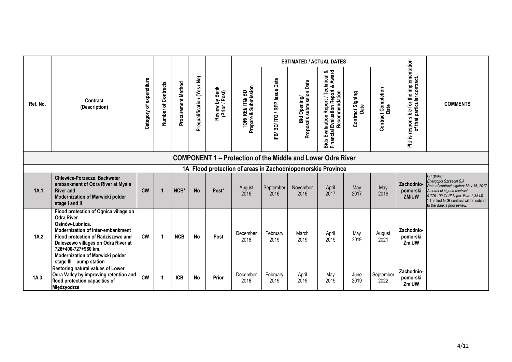|          |                                                                                                                                                                                                                                                                                        |                         |                     |                    |                             |                                  |                                                        |                           | <b>ESTIMATED / ACTUAL DATES</b>                       |                                                                                               |                          |                                    |                                                                           |                                                                                                                                                                                                                            |
|----------|----------------------------------------------------------------------------------------------------------------------------------------------------------------------------------------------------------------------------------------------------------------------------------------|-------------------------|---------------------|--------------------|-----------------------------|----------------------------------|--------------------------------------------------------|---------------------------|-------------------------------------------------------|-----------------------------------------------------------------------------------------------|--------------------------|------------------------------------|---------------------------------------------------------------------------|----------------------------------------------------------------------------------------------------------------------------------------------------------------------------------------------------------------------------|
| Ref. No. | Contract<br>(Description)                                                                                                                                                                                                                                                              | Category of expenditure | Number of Contracts | Procurement Method | Prequalification (Yes / No) | Review by Bank<br>(Prior / Post) | Submission<br>TOR/ REI/ ITQ/ BD<br>Prepare & Submissio | IFB/BD/ITQ/RFP issue Date | 1 Opening/<br>submission Date<br>Bid (<br>Proposals s | Bids Evaluation Report / Technical &<br>Financial Evaluation Report & Award<br>Recommendation | Contract Signing<br>Date | <b>Contract Completion</b><br>Date | PIU is responsible for the implementation<br>of that particular contract. | <b>COMMENTS</b>                                                                                                                                                                                                            |
|          | <b>COMPONENT 1 – Protection of the Middle and Lower Odra River</b><br>1A Flood protection of areas in Zachodniopomorskie Province                                                                                                                                                      |                         |                     |                    |                             |                                  |                                                        |                           |                                                       |                                                                                               |                          |                                    |                                                                           |                                                                                                                                                                                                                            |
|          |                                                                                                                                                                                                                                                                                        |                         |                     |                    |                             |                                  |                                                        |                           |                                                       |                                                                                               |                          |                                    |                                                                           |                                                                                                                                                                                                                            |
| 1A.1     | Chlewice-Porzecze. Backwater<br>embankment of Odra River at Myśla<br><b>River and</b><br>Modernization of Marwicki polder<br>stage I and II                                                                                                                                            | $\mathsf{cw}$           | $\overline{1}$      | NCB*               | <b>No</b>                   | Post*                            | August<br>2016                                         | September<br>2016         | November<br>2016                                      | April<br>2017                                                                                 | May<br>2017              | May<br>2019                        | Zachodnio-<br>pomorski<br>ZMiUW                                           | on going<br>Energopol Szczecin S.A.<br>Date of contract signing: May 15, 2017<br>Amount of signed contract:<br>9 776 109,74 PLN (ca. Euro 2,35 M)<br>The first NCB contract will be subject<br>to the Bank's prior review. |
| 1A.2     | Flood protection of Ognica village on<br><b>Odra River</b><br>Osinów-Łubnica.<br>Modernization of inter-embankment<br>Flood protection of Radziszewo and<br>Daleszewo villages on Odra River at<br>726+400-727+960 km.<br>Modernization of Marwicki polder<br>stage III - pump station | <b>CW</b>               | $\mathbf{1}$        | <b>NCB</b>         | <b>No</b>                   | Post                             | December<br>2018                                       | February<br>2019          | March<br>2019                                         | April<br>2019                                                                                 | May<br>2019              | August<br>2021                     | Zachodnio-<br>pomorski<br>ZmiUW                                           |                                                                                                                                                                                                                            |
| 1A.3     | Restoring natural values of Lower<br>Odra Valley by improving retention and<br>flood protection capacities of<br>Międzyodrze                                                                                                                                                           | <b>CW</b>               | 1                   | <b>ICB</b>         | <b>No</b>                   | Prior                            | December<br>2018                                       | February<br>2019          | April<br>2019                                         | May<br>2019                                                                                   | June<br>2019             | September<br>2022                  | Zachodnio-<br>pomorski<br>ZmiUW                                           |                                                                                                                                                                                                                            |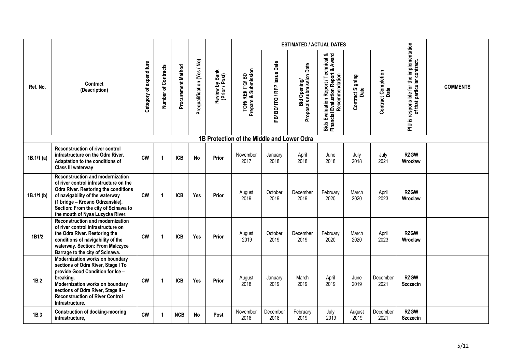|            |                                                                                                                                                                                                                                                                             |                         |                     |                    |                             |                                  |                                            |                           | <b>ESTIMATED / ACTUAL DATES</b>           |                                                                                               |                          |                                    |                                                                           |                 |
|------------|-----------------------------------------------------------------------------------------------------------------------------------------------------------------------------------------------------------------------------------------------------------------------------|-------------------------|---------------------|--------------------|-----------------------------|----------------------------------|--------------------------------------------|---------------------------|-------------------------------------------|-----------------------------------------------------------------------------------------------|--------------------------|------------------------------------|---------------------------------------------------------------------------|-----------------|
| Ref. No.   | Contract<br>(Description)                                                                                                                                                                                                                                                   | Category of expenditure | Number of Contracts | Procurement Method | Prequalification (Yes / No) | Review by Bank<br>(Prior / Post) | Prepare & Submission<br>TOR/REI/ITQ/BD     | IFB/BD/ITQ/RFP issue Date | Bid Opening/<br>Proposals submission Date | Bids Evaluation Report / Technical &<br>Financial Evaluation Report & Award<br>Recommendation | Contract Signing<br>Date | <b>Contract Completion</b><br>Date | PIU is responsible for the implementation<br>of that particular contract. | <b>COMMENTS</b> |
|            |                                                                                                                                                                                                                                                                             |                         |                     |                    |                             |                                  | 1B Protection of the Middle and Lower Odra |                           |                                           |                                                                                               |                          |                                    |                                                                           |                 |
| 1B.1/1 (a) | <b>Reconstruction of river control</b><br>infrastructure on the Odra River.<br>Adaptation to the conditions of<br>Class III waterway                                                                                                                                        | <b>CW</b>               | 1                   | <b>ICB</b>         | <b>No</b>                   | Prior                            | November<br>2017                           | January<br>2018           | April<br>2018                             | June<br>2018                                                                                  | July<br>2018             | July<br>2021                       | <b>RZGW</b><br>Wrocław                                                    |                 |
| 1B.1/1 (b) | Reconstruction and modernization<br>of river control infrastructure on the<br><b>Odra River. Restoring the conditions</b><br>of navigability of the waterway<br>(1 bridge - Krosno Odrzanskie).<br>Section: From the city of Scinawa to<br>the mouth of Nysa Luzycka River. | <b>CW</b>               | $\mathbf{1}$        | <b>ICB</b>         | Yes                         | Prior                            | August<br>2019                             | October<br>2019           | December<br>2019                          | February<br>2020                                                                              | March<br>2020            | April<br>2023                      | <b>RZGW</b><br>Wroclaw                                                    |                 |
| 1B1/2      | <b>Reconstruction and modernization</b><br>of river control infrastructure on<br>the Odra River. Restoring the<br>conditions of navigability of the<br>waterway. Section: From Malczyce<br>Barrage to the city of Scinawa.                                                  | <b>CW</b>               | 1                   | <b>ICB</b>         | <b>Yes</b>                  | Prior                            | August<br>2019                             | October<br>2019           | December<br>2019                          | February<br>2020                                                                              | March<br>2020            | April<br>2023                      | <b>RZGW</b><br>Wroclaw                                                    |                 |
| 1B.2       | Modernization works on boundary<br>sections of Odra River, Stage I To<br>provide Good Condition for Ice -<br>breaking.<br>Modernization works on boundary<br>sections of Odra River, Stage II -<br><b>Reconstruction of River Control</b><br>Infrastructure.                | <b>CW</b>               | 1                   | <b>ICB</b>         | Yes                         | Prior                            | August<br>2018                             | January<br>2019           | March<br>2019                             | April<br>2019                                                                                 | June<br>2019             | December<br>2021                   | <b>RZGW</b><br><b>Szczecin</b>                                            |                 |
| 1B.3       | <b>Construction of docking-mooring</b><br>infrastructure,                                                                                                                                                                                                                   | <b>CW</b>               | 1                   | <b>NCB</b>         | No                          | Post                             | November<br>2018                           | December<br>2018          | February<br>2019                          | July<br>2019                                                                                  | August<br>2019           | December<br>2021                   | <b>RZGW</b><br><b>Szczecin</b>                                            |                 |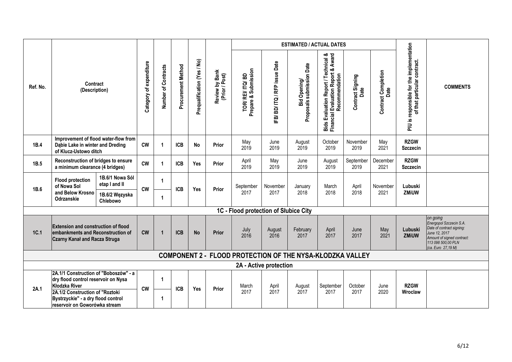|             |                                                                                                                                                                               |                                                                |                         |                     |                    |                             |                                  |                                        |                           | <b>ESTIMATED / ACTUAL DATES</b>                           |                                                                                               |                          |                                    |                                                                           |                                                                                                                                                             |
|-------------|-------------------------------------------------------------------------------------------------------------------------------------------------------------------------------|----------------------------------------------------------------|-------------------------|---------------------|--------------------|-----------------------------|----------------------------------|----------------------------------------|---------------------------|-----------------------------------------------------------|-----------------------------------------------------------------------------------------------|--------------------------|------------------------------------|---------------------------------------------------------------------------|-------------------------------------------------------------------------------------------------------------------------------------------------------------|
| Ref. No.    | Contract<br>(Description)                                                                                                                                                     |                                                                | Category of expenditure | Number of Contracts | Procurement Method | Prequalification (Yes / No) | Review by Bank<br>(Prior / Post) | TOR/REI/ITQ/BD<br>Prepare & Submission | IFB/BD/ITQ/RFP issue Date | Bid Opening/<br>Proposals submission Date                 | Bids Evaluation Report / Technical &<br>Financial Evaluation Report & Award<br>Recommendation | Contract Signing<br>Date | <b>Contract Completion</b><br>Date | PIU is responsible for the implementation<br>of that particular contract. | <b>COMMENTS</b>                                                                                                                                             |
| 1B.4        | Improvement of flood water-flow from<br>Dabie Lake in winter and Dreding<br>of Klucz-Ustowo ditch                                                                             |                                                                | <b>CW</b>               | $\overline{1}$      | <b>ICB</b>         | No                          | Prior                            | May<br>2019                            | June<br>2019              | August<br>2019                                            | October<br>2019                                                                               | November<br>2019         | May<br>2021                        | <b>RZGW</b><br><b>Szczecin</b>                                            |                                                                                                                                                             |
| 1B.5        | Reconstruction of bridges to ensure<br>a minimum clearance (4 bridges)                                                                                                        |                                                                | <b>CW</b>               | 1                   | <b>ICB</b>         | Yes                         | <b>Prior</b>                     | April<br>2019                          | May<br>2019               | June<br>2019                                              | August<br>2019                                                                                | September<br>2019        | December<br>2021                   | <b>RZGW</b><br><b>Szczecin</b>                                            |                                                                                                                                                             |
| 1B.6        | <b>Flood protection</b><br>of Nowa Sol<br>and Below Krosno<br>Odrzanskie                                                                                                      | 1B.6/1 Nowa Sól<br>etap I and II<br>1B.6/2 Węzyska<br>Chlebowo | <b>CW</b>               | 1<br>1              | <b>ICB</b>         | Yes                         | Prior                            | September<br>2017                      | November<br>2017          | January<br>2018                                           | March<br>2018                                                                                 | April<br>2018            | November<br>2021                   | Lubuski<br>ZMiUW                                                          |                                                                                                                                                             |
|             |                                                                                                                                                                               |                                                                |                         |                     |                    |                             |                                  | 1C - Flood protection of Słubice City  |                           |                                                           |                                                                                               |                          |                                    |                                                                           |                                                                                                                                                             |
| <b>1C.1</b> | <b>Extension and construction of flood</b><br>embankments and Reconstruction of<br><b>Czarny Kanał and Racza Struga</b>                                                       |                                                                | <b>CW</b>               | $\overline{1}$      | <b>ICB</b>         | <b>No</b>                   | Prior                            | July<br>2016                           | August<br>2016            | February<br>2017                                          | April<br>2017                                                                                 | June<br>2017             | May<br>2021                        | Lubuski<br><b>ZMiUW</b>                                                   | on going<br>Energopol Szczecin S.A.<br>Date of contract signing:<br>June 12, 2017<br>Amount of signed contract:<br>113 098 500,00 PLN<br>(ca. Euro 27,19 M) |
|             |                                                                                                                                                                               |                                                                |                         |                     |                    |                             |                                  |                                        |                           | COMPONENT 2 - FLOOD PROTECTION OF THE NYSA-KŁODZKA VALLEY |                                                                                               |                          |                                    |                                                                           |                                                                                                                                                             |
|             |                                                                                                                                                                               |                                                                |                         |                     |                    |                             |                                  |                                        | 2A - Active protection    |                                                           |                                                                                               |                          |                                    |                                                                           |                                                                                                                                                             |
| 2A.1        | 2A.1/1 Construction of "Boboszów" - a<br>dry flood control reservoir on Nysa<br><b>Kłodzka River</b><br>2A.1/2 Construction of "Roztoki<br>Bystrzyckie" - a dry flood control |                                                                | <b>CW</b>               | 1<br>1              | <b>ICB</b>         | Yes                         | Prior                            | March<br>2017                          | April<br>2017             | August<br>2017                                            | September<br>2017                                                                             | October<br>2017          | June<br>2020                       | <b>RZGW</b><br>Wroclaw                                                    |                                                                                                                                                             |
|             | reservoir on Goworówka stream                                                                                                                                                 |                                                                |                         |                     |                    |                             |                                  |                                        |                           |                                                           |                                                                                               |                          |                                    |                                                                           |                                                                                                                                                             |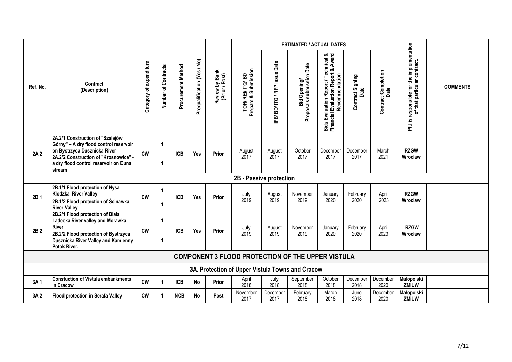|          |                                                                                                                                                                                                        |                         |                     |                    |                             |                                  |                                                          |                           | <b>ESTIMATED / ACTUAL DATES</b>           |                                                                                               |                          |                                    |                                                                           |                 |  |
|----------|--------------------------------------------------------------------------------------------------------------------------------------------------------------------------------------------------------|-------------------------|---------------------|--------------------|-----------------------------|----------------------------------|----------------------------------------------------------|---------------------------|-------------------------------------------|-----------------------------------------------------------------------------------------------|--------------------------|------------------------------------|---------------------------------------------------------------------------|-----------------|--|
| Ref. No. | Contract<br>(Description)                                                                                                                                                                              | Category of expenditure | Number of Contracts | Procurement Method | Prequalification (Yes / No) | Review by Bank<br>(Prior / Post) | TOR/ REI/ ITQ/ BD<br>Prepare & Submission                | IFB/BD/ITQ/RFP issue Date | Bid Opening/<br>Proposals submission Date | Bids Evaluation Report / Technical &<br>Financial Evaluation Report & Award<br>Recommendation | Contract Signing<br>Date | <b>Contract Completion</b><br>Date | PIU is responsible for the implementation<br>of that particular contract. | <b>COMMENTS</b> |  |
| 2A.2     | 2A.2/1 Construction of "Szalejów<br>Górny" - A dry flood control reservoir<br>on Bystrzyca Dusznicka River<br>2A.2/2 Construction of "Krosnowice" -<br>a dry flood control reservoir on Duna<br>stream | <b>CW</b>               | 1<br>$\mathbf 1$    | <b>ICB</b>         | Yes                         | Prior                            | August<br>2017                                           | August<br>2017            | October<br>2017                           | December<br>2017                                                                              | December<br>2017         | March<br>2021                      | <b>RZGW</b><br>Wroclaw                                                    |                 |  |
|          | 2B - Passive protection                                                                                                                                                                                |                         |                     |                    |                             |                                  |                                                          |                           |                                           |                                                                                               |                          |                                    |                                                                           |                 |  |
| 2B.1     | 2B.1/1 Flood protection of Nysa<br>Kłodzka River Valley<br>2B.1/2 Flood protection of Ścinawka<br><b>River Valley</b>                                                                                  | <b>CW</b>               | 1<br>$\mathbf{1}$   | <b>ICB</b>         | Yes                         | Prior                            | July<br>2019                                             | August<br>2019            | November<br>2019                          | January<br>2020                                                                               | February<br>2020         | April<br>2023                      | <b>RZGW</b><br>Wroclaw                                                    |                 |  |
| 2B.2     | 2B.2/1 Flood protection of Biała<br>Lądecka River valley and Morawka<br><b>River</b><br>2B.2/2 Flood protection of Bystrzyca<br>Dusznicka River Valley and Kamienny<br>Potok River.                    | <b>CW</b>               | 1<br>1              | <b>ICB</b>         | Yes                         | Prior                            | July<br>2019                                             | August<br>2019            | November<br>2019                          | January<br>2020                                                                               | February<br>2020         | April<br>2023                      | <b>RZGW</b><br>Wrocław                                                    |                 |  |
|          |                                                                                                                                                                                                        |                         |                     |                    |                             |                                  | <b>COMPONENT 3 FLOOD PROTECTION OF THE UPPER VISTULA</b> |                           |                                           |                                                                                               |                          |                                    |                                                                           |                 |  |
|          |                                                                                                                                                                                                        |                         |                     |                    |                             |                                  | 3A. Protection of Upper Vistula Towns and Cracow         |                           |                                           |                                                                                               |                          |                                    |                                                                           |                 |  |
| 3A.1     | <b>Constuction of Vistula embankments</b><br>in Cracow                                                                                                                                                 | <b>CW</b>               | $\mathbf{1}$        | <b>ICB</b>         | No                          | Prior                            | April<br>2018                                            | July<br>2018              | September<br>2018                         | October<br>2018                                                                               | December<br>2018         | December<br>2020                   | <b>Małopolski</b><br>ZMiUW                                                |                 |  |
| 3A.2     | <b>Flood protection in Serafa Valley</b>                                                                                                                                                               | $\mathsf{cw}$           | $\mathbf 1$         | NCB                | No                          | Post                             | November<br>2017                                         | December<br>2017          | February<br>2018                          | March<br>2018                                                                                 | June<br>2018             | December<br>2020                   | Małopolski<br>ZMiUW                                                       |                 |  |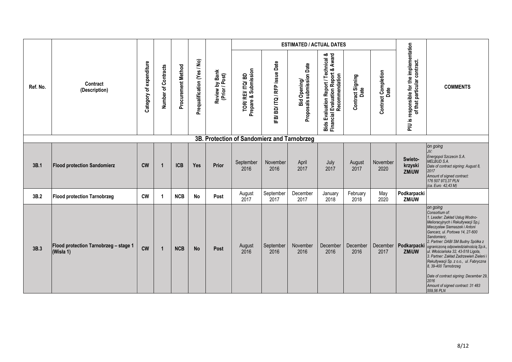|          |                                                    |                            |                     |                    |                             |                                  |                                             |                           | <b>ESTIMATED / ACTUAL DATES</b>           |                                                                                                               |                          |                                    |                                                                           |                                                                                                                                                                                                                                                                                                                                                                                                                                                                                                                               |
|----------|----------------------------------------------------|----------------------------|---------------------|--------------------|-----------------------------|----------------------------------|---------------------------------------------|---------------------------|-------------------------------------------|---------------------------------------------------------------------------------------------------------------|--------------------------|------------------------------------|---------------------------------------------------------------------------|-------------------------------------------------------------------------------------------------------------------------------------------------------------------------------------------------------------------------------------------------------------------------------------------------------------------------------------------------------------------------------------------------------------------------------------------------------------------------------------------------------------------------------|
| Ref. No. | Contract<br>(Description)                          | of expenditure<br>Category | Number of Contracts | Procurement Method | Prequalification (Yes / No) | Review by Bank<br>(Prior / Post) | TOR/ REI/ ITQ/ BD<br>Prepare & Submission   | IFB/BD/ITQ/RFP issue Date | Bid Opening/<br>Proposals submission Date | <b>Bids Evaluation Report / Technical &amp;<br/>Financial Evaluation Report &amp; Award</b><br>Recommendation | Contract Signing<br>Date | <b>Contract Completion</b><br>Date | PIU is responsible for the implementation<br>of that particular contract. | <b>COMMENTS</b>                                                                                                                                                                                                                                                                                                                                                                                                                                                                                                               |
|          |                                                    |                            |                     |                    |                             |                                  | 3B. Protection of Sandomierz and Tarnobrzeg |                           |                                           |                                                                                                               |                          |                                    |                                                                           |                                                                                                                                                                                                                                                                                                                                                                                                                                                                                                                               |
| 3B.1     | <b>Flood protection Sandomierz</b>                 | $\mathsf{cw}$              | $\overline{1}$      | <b>ICB</b>         | Yes                         | Prior                            | September<br>2016                           | November<br>2016          | April<br>2017                             | July<br>2017                                                                                                  | August<br>2017           | November<br>2020                   | Swieto-<br>krzyski<br>ZMiUW                                               | on going<br>JV:<br>Energopol Szczecin S.A.<br>MELBUD S.A.<br>Date of contract signing: August 8,<br>2017<br>Amount of signed contract:<br>176 507 973,37 PLN<br>(ca. Euro 42,43 M)                                                                                                                                                                                                                                                                                                                                            |
| 3B.2     | <b>Flood protection Tarnobrzeg</b>                 | <b>CW</b>                  | 1                   | <b>NCB</b>         | <b>No</b>                   | Post                             | August<br>2017                              | September<br>2017         | December<br>2017                          | January<br>2018                                                                                               | February<br>2018         | May<br>2020                        | Podkarpacki<br>ZMiUW                                                      |                                                                                                                                                                                                                                                                                                                                                                                                                                                                                                                               |
| 3B.3     | Flood protection Tarnobrzeg - stage 1<br>(Wisła 1) | <b>CW</b>                  | $\mathbf{1}$        | <b>NCB</b>         | <b>No</b>                   | Post                             | August<br>2016                              | September<br>2016         | November<br>2016                          | December<br>2016                                                                                              | December<br>2016         | December<br>2017                   | Podkarpacki<br><b>ZMiUW</b>                                               | on going<br>Consortium of:<br>1. Leader: Zakład Usług Wodno-<br>Melioracyjnych i Rekultywacji Sp.j.<br>Mieczysław Siemaszek i Antoni<br>Gancarz, ul. Portowa 14, 27-600<br>Sandomierz,<br>2. Partner: DABI SM Budny Spółka z<br>ograniczoną odpowiedzialnością Sp.k.,<br>ul. Włościańska 32, 43-518 Ligota,<br>3. Partner: Zakład Zadrzewień Zieleni i<br>Rekultywacji Sp. z o.o., ul. Fabryczna<br>8, 39-400 Tarnobrzeg<br>Date of contract signing: December 29,<br>2016<br>Amount of signed contract: 31 483<br>559,56 PLN |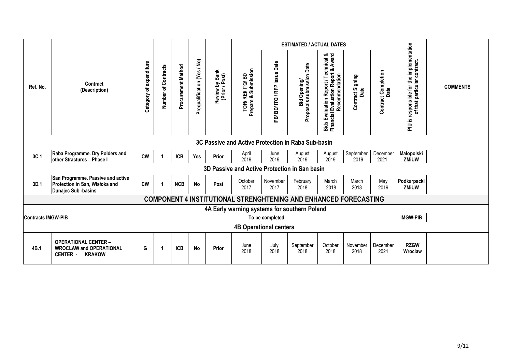|                           |                                                                                                   |                         |                     |                    |                             |                                  |                                                                         |                           | <b>ESTIMATED / ACTUAL DATES</b>                  |                                                                                               |                          |                                    |                                                                                 |                 |
|---------------------------|---------------------------------------------------------------------------------------------------|-------------------------|---------------------|--------------------|-----------------------------|----------------------------------|-------------------------------------------------------------------------|---------------------------|--------------------------------------------------|-----------------------------------------------------------------------------------------------|--------------------------|------------------------------------|---------------------------------------------------------------------------------|-----------------|
| Ref. No.                  | Contract<br>(Description)                                                                         | Category of expenditure | Number of Contracts | Procurement Method | Prequalification (Yes / No) | Review by Bank<br>(Prior / Post) | Submission<br>TOR/REI/ITQ/BD<br>Prepare & 9                             | IFB/BD/ITQ/RFP issue Date | Bid Opening/<br>als submission Date<br>Proposals | Bids Evaluation Report / Technical &<br>Financial Evaluation Report & Award<br>Recommendation | Contract Signing<br>Date | <b>Contract Completion</b><br>Date | responsible for the implementation<br>contract.<br>of that particular<br>si NId | <b>COMMENTS</b> |
|                           | 3C Passive and Active Protection in Raba Sub-basin                                                |                         |                     |                    |                             |                                  |                                                                         |                           |                                                  |                                                                                               |                          |                                    |                                                                                 |                 |
| 3C.1                      | Raba Programme. Dry Polders and<br>other Stractures - Phase I                                     | <b>CW</b>               |                     | <b>ICB</b>         | <b>Yes</b>                  | Prior                            | April<br>2019                                                           | June<br>2019              | August<br>2019                                   | August<br>2019                                                                                | September<br>2019        | December<br>2021                   | Małopolski<br><b>ZMiUW</b>                                                      |                 |
|                           |                                                                                                   |                         |                     |                    |                             |                                  | 3D Passive and Active Protection in San basin                           |                           |                                                  |                                                                                               |                          |                                    |                                                                                 |                 |
| 3D.1                      | San Programme. Passive and active<br>Protection in San, Wisłoka and<br>Dunajec Sub -basins        | <b>CW</b>               | 1                   | <b>NCB</b>         | <b>No</b>                   | Post                             | October<br>2017                                                         | November<br>2017          | February<br>2018                                 | March<br>2018                                                                                 | March<br>2018            | May<br>2019                        | Podkarpacki<br><b>ZMiUW</b>                                                     |                 |
|                           |                                                                                                   |                         |                     |                    |                             |                                  | <b>COMPONENT 4 INSTITUTIONAL STRENGHTENING AND ENHANCED FORECASTING</b> |                           |                                                  |                                                                                               |                          |                                    |                                                                                 |                 |
|                           |                                                                                                   |                         |                     |                    |                             |                                  | 4A Early warning systems for southern Poland                            |                           |                                                  |                                                                                               |                          |                                    |                                                                                 |                 |
| <b>Contracts IMGW-PIB</b> |                                                                                                   |                         |                     |                    |                             |                                  |                                                                         | To be completed           |                                                  |                                                                                               |                          |                                    | <b>IMGW-PIB</b>                                                                 |                 |
|                           |                                                                                                   |                         |                     |                    |                             |                                  | <b>4B Operational centers</b>                                           |                           |                                                  |                                                                                               |                          |                                    |                                                                                 |                 |
| 4B.1.                     | <b>OPERATIONAL CENTER -</b><br><b>WROCLAW and OPERATIONAL</b><br><b>KRAKOW</b><br><b>CENTER -</b> | G                       | 1                   | <b>ICB</b>         | No                          | Prior                            | June<br>2018                                                            | July<br>2018              | September<br>2018                                | October<br>2018                                                                               | November<br>2018         | December<br>2021                   | <b>RZGW</b><br>Wroclaw                                                          |                 |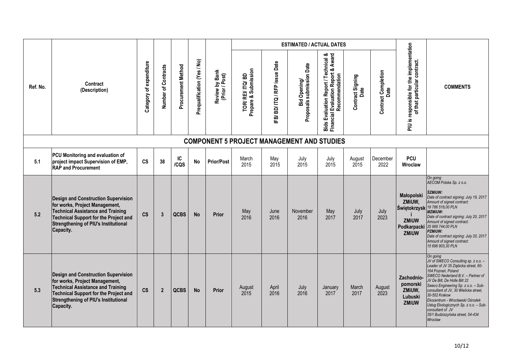|          |                                                                                                                                                                                                                                      |                         |                     |                    |                             |                                  |                                        |                           | <b>ESTIMATED / ACTUAL DATES</b>                   |                                                                                               |                                 |                                    |                                                                           |                                                                                                                                                                                                                                                                                                                                                                                                                                    |
|----------|--------------------------------------------------------------------------------------------------------------------------------------------------------------------------------------------------------------------------------------|-------------------------|---------------------|--------------------|-----------------------------|----------------------------------|----------------------------------------|---------------------------|---------------------------------------------------|-----------------------------------------------------------------------------------------------|---------------------------------|------------------------------------|---------------------------------------------------------------------------|------------------------------------------------------------------------------------------------------------------------------------------------------------------------------------------------------------------------------------------------------------------------------------------------------------------------------------------------------------------------------------------------------------------------------------|
| Ref. No. | Contract<br>(Description)                                                                                                                                                                                                            | Category of expenditure | Number of Contracts | Procurement Method | Prequalification (Yes / No) | Review by Bank<br>(Prior / Post) | TOR/REI/ITQ/BD<br>Prepare & Submission | IFB/BD/ITQ/RFP issue Date | Bid Opening/<br>Proposals submission Date         | Bids Evaluation Report / Technical &<br>Financial Evaluation Report & Award<br>Recommendation | <b>Contract Signing</b><br>Date | <b>Contract Completion</b><br>Date | PIU is responsible for the implementation<br>of that particular contract. | <b>COMMENTS</b>                                                                                                                                                                                                                                                                                                                                                                                                                    |
|          |                                                                                                                                                                                                                                      |                         |                     |                    |                             |                                  |                                        |                           | <b>COMPONENT 5 PROJECT MANAGEMENT AND STUDIES</b> |                                                                                               |                                 |                                    |                                                                           |                                                                                                                                                                                                                                                                                                                                                                                                                                    |
| 5.1      | PCU Monitoring and evaluation of<br>project impact Supervision of EMP,<br><b>RAP and Procurement</b>                                                                                                                                 | $\mathsf{cs}$           | 38                  | IC<br>/CQS         | No                          | <b>Prior/Post</b>                | March<br>2015                          | May<br>2015               | July<br>2015                                      | July<br>2015                                                                                  | August<br>2015                  | December<br>2022                   | <b>PCU</b><br>Wroclaw                                                     |                                                                                                                                                                                                                                                                                                                                                                                                                                    |
| 5.2      | <b>Design and Construction Supervision</b><br>for works, Project Management,<br><b>Technical Assistance and Training</b><br><b>Technical Support for the Project and</b><br><b>Strengthening of PIU's Institutional</b><br>Capacity. | CS                      | $\mathbf{3}$        | <b>QCBS</b>        | <b>No</b>                   | <b>Prior</b>                     | May<br>2016                            | June<br>2016              | November<br>2016                                  | May<br>2017                                                                                   | July<br>2017                    | July<br>2023                       | Małopolski<br>ZMiUW,<br><b>ZMiUW</b><br>Podkarpacki<br>ZMiUW              | On going<br>AECOM Polska Sp. z o.o.<br><b>ŚZMIUW:</b><br>Date of contract signing: July 19, 2017<br>Amount of signed contract:<br>Świętokrzysk 19 786 518,00 PLN<br><b>MZMIUW:</b><br>Date of contract signing: July 20, 2017<br>Amount of signed contract:<br>25 968 744,00 PLN<br><b>PZMIUW:</b><br>Date of contract signing: July 20, 2017<br>Amount of signed contract:<br>15 696 903,30 PLN                                   |
| 5.3      | <b>Design and Construction Supervision</b><br>for works, Project Management,<br><b>Technical Assistance and Training</b><br><b>Technical Support for the Project and</b><br><b>Strengthening of PIU's Institutional</b><br>Capacity. | <b>CS</b>               | $\overline{2}$      | <b>QCBS</b>        | <b>No</b>                   | Prior                            | August<br>2015                         | April<br>2016             | July<br>2016                                      | January<br>2017                                                                               | March<br>2017                   | August<br>2023                     | Zachodnio-<br>pomorski<br>ZMiUW,<br>Lubuski<br>ZMiUW                      | On going<br>JV of SWECO Consulting sp. z o.o. -<br>Leader of JV 35 Ziębicka street, 60-<br>164 Poznań, Poland<br>SWECO Nederland B.V. - Partner of<br>JV De Bilt, De Holle Bilt 22<br>Sweco Engineering Sp. z o.o. - Sub-<br>consultant of JV, 30 Wielicka street,<br>30-552 Krakow<br>Ekocentrum - Wrocławski Ośrodek<br>Usług Ekologicznych Sp. z o.o. - Sub-<br>consultant of JV<br>35/1 Budziszyńska street, 54-434<br>Wroclaw |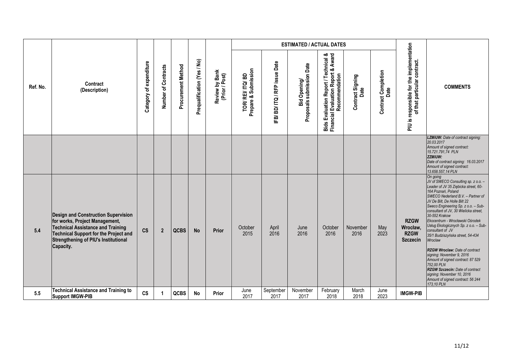|          |                                                                                                                                                                                                                               |                         |                     |                    |                             |                                  |                                        |                           | <b>ESTIMATED / ACTUAL DATES</b>           |                                                                                               |                          |                                    |                                                                           |                                                                                                                                                                                                                                                                                                                                                                                                                                                                                                                                                                                                                                                                                  |
|----------|-------------------------------------------------------------------------------------------------------------------------------------------------------------------------------------------------------------------------------|-------------------------|---------------------|--------------------|-----------------------------|----------------------------------|----------------------------------------|---------------------------|-------------------------------------------|-----------------------------------------------------------------------------------------------|--------------------------|------------------------------------|---------------------------------------------------------------------------|----------------------------------------------------------------------------------------------------------------------------------------------------------------------------------------------------------------------------------------------------------------------------------------------------------------------------------------------------------------------------------------------------------------------------------------------------------------------------------------------------------------------------------------------------------------------------------------------------------------------------------------------------------------------------------|
| Ref. No. | Contract<br>(Description)                                                                                                                                                                                                     | Category of expenditure | Number of Contracts | Procurement Method | Prequalification (Yes / No) | Review by Bank<br>(Prior / Post) | Prepare & Submission<br>TOR/REI/ITQ/BD | IFB/BD/ITQ/RFP issue Date | Bid Opening/<br>Proposals submission Date | Bids Evaluation Report / Technical &<br>Financial Evaluation Report & Award<br>Recommendation | Contract Signing<br>Date | <b>Contract Completion</b><br>Date | PIU is responsible for the implementation<br>of that particular contract. | <b>COMMENTS</b>                                                                                                                                                                                                                                                                                                                                                                                                                                                                                                                                                                                                                                                                  |
|          |                                                                                                                                                                                                                               |                         |                     |                    |                             |                                  |                                        |                           |                                           |                                                                                               |                          |                                    |                                                                           | <b>LZMIUW:</b> Date of contract signing:<br>20.03.2017<br>Amount of signed contract:<br>15.721.791,74 PLN<br><b>ZZMIUW:</b><br>Date of contract signing: 16.03.2017<br>Amount of signed contract:<br>13.658.557,14 PLN                                                                                                                                                                                                                                                                                                                                                                                                                                                           |
| 5.4      | <b>Design and Construction Supervision</b><br>for works, Project Management,<br><b>Technical Assistance and Training</b><br><b>Technical Support for the Project and</b><br>Strengthening of PIU's Institutional<br>Capacity. | $\mathsf{cs}$           | $\boldsymbol{2}$    | <b>QCBS</b>        | <b>No</b>                   | Prior                            | October<br>2015                        | April<br>2016             | June<br>2016                              | October<br>2016                                                                               | November<br>2016         | May<br>2023                        | <b>RZGW</b><br>Wrocław,<br><b>RZGW</b><br><b>Szczecin</b>                 | On going<br>JV of SWECO Consulting sp. z o.o. -<br>Leader of JV 35 Ziębicka street, 60-<br>164 Poznań, Poland<br>SWECO Nederland B.V. - Partner of<br>JV De Bilt, De Holle Bilt 22<br>Sweco Engineering Sp. z o.o. - Sub-<br>consultant of JV, 30 Wielicka street,<br>30-552 Krakow<br>Ekocentrum - Wrocławski Ośrodek<br>Usług Ekologicznych Sp. z o.o. - Sub-<br>consultant of JV<br>35/1 Budziszyńska street, 54-434<br>Wroclaw<br><b>RZGW Wroclaw: Date of contract</b><br>signing: November 9, 2016<br>Amount of signed contract: 87 529<br>752.00 PLN<br>RZGW Szczecin: Date of contract<br>signing: November 10, 2016<br>Amount of signed contract: 56 244<br>173, 10 PLN |
| 5.5      | <b>Technical Assistance and Training to</b><br><b>Support IMGW-PIB</b>                                                                                                                                                        | <b>CS</b>               | $\overline{1}$      | <b>QCBS</b>        | <b>No</b>                   | Prior                            | June<br>2017                           | September<br>2017         | November<br>2017                          | February<br>2018                                                                              | March<br>2018            | June<br>2023                       | <b>IMGW-PIB</b>                                                           |                                                                                                                                                                                                                                                                                                                                                                                                                                                                                                                                                                                                                                                                                  |